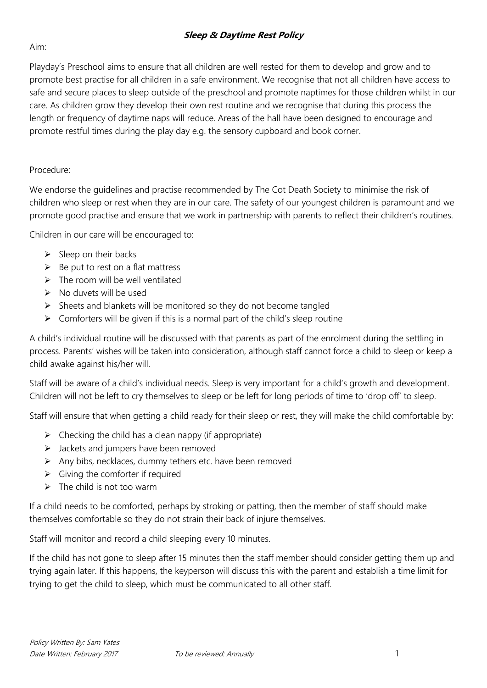## **Sleep & Daytime Rest Policy**

Aim:

Playday's Preschool aims to ensure that all children are well rested for them to develop and grow and to promote best practise for all children in a safe environment. We recognise that not all children have access to safe and secure places to sleep outside of the preschool and promote naptimes for those children whilst in our care. As children grow they develop their own rest routine and we recognise that during this process the length or frequency of daytime naps will reduce. Areas of the hall have been designed to encourage and promote restful times during the play day e.g. the sensory cupboard and book corner.

## Procedure:

We endorse the guidelines and practise recommended by The Cot Death Society to minimise the risk of children who sleep or rest when they are in our care. The safety of our youngest children is paramount and we promote good practise and ensure that we work in partnership with parents to reflect their children's routines.

Children in our care will be encouraged to:

- $\triangleright$  Sleep on their backs
- $\triangleright$  Be put to rest on a flat mattress
- $\triangleright$  The room will be well ventilated
- No duvets will be used
- $\triangleright$  Sheets and blankets will be monitored so they do not become tangled
- $\triangleright$  Comforters will be given if this is a normal part of the child's sleep routine

A child's individual routine will be discussed with that parents as part of the enrolment during the settling in process. Parents' wishes will be taken into consideration, although staff cannot force a child to sleep or keep a child awake against his/her will.

Staff will be aware of a child's individual needs. Sleep is very important for a child's growth and development. Children will not be left to cry themselves to sleep or be left for long periods of time to 'drop off' to sleep.

Staff will ensure that when getting a child ready for their sleep or rest, they will make the child comfortable by:

- $\triangleright$  Checking the child has a clean nappy (if appropriate)
- $\triangleright$  Jackets and jumpers have been removed
- $\triangleright$  Any bibs, necklaces, dummy tethers etc. have been removed
- $\triangleright$  Giving the comforter if required
- $\triangleright$  The child is not too warm

If a child needs to be comforted, perhaps by stroking or patting, then the member of staff should make themselves comfortable so they do not strain their back of injure themselves.

Staff will monitor and record a child sleeping every 10 minutes.

If the child has not gone to sleep after 15 minutes then the staff member should consider getting them up and trying again later. If this happens, the keyperson will discuss this with the parent and establish a time limit for trying to get the child to sleep, which must be communicated to all other staff.